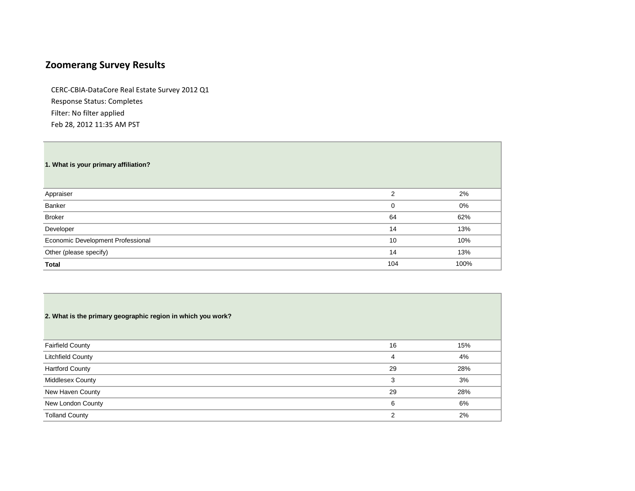# **Zoomerang Survey Results**

CERC-CBIA-DataCore Real Estate Survey 2012 Q1 Response Status: Completes Filter: No filter applied Feb 28, 2012 11:35 AM PST

|  |  |  |  |  | 1. What is your primary affiliation? |
|--|--|--|--|--|--------------------------------------|
|--|--|--|--|--|--------------------------------------|

| Appraiser                         | っ        | 2%   |
|-----------------------------------|----------|------|
| Banker                            | $\Omega$ | 0%   |
| <b>Broker</b>                     | 64       | 62%  |
| Developer                         | 14       | 13%  |
| Economic Development Professional | 10       | 10%  |
| Other (please specify)            | 14       | 13%  |
| Total                             | 104      | 100% |

| 2. What is the primary geographic region in which you work? |               |     |
|-------------------------------------------------------------|---------------|-----|
| <b>Fairfield County</b>                                     | 16            | 15% |
| Litchfield County                                           | 4             | 4%  |
| <b>Hartford County</b>                                      | 29            | 28% |
| Middlesex County                                            | 3             | 3%  |
| New Haven County                                            | 29            | 28% |
| New London County                                           | 6             | 6%  |
| <b>Tolland County</b>                                       | $\mathcal{P}$ | 2%  |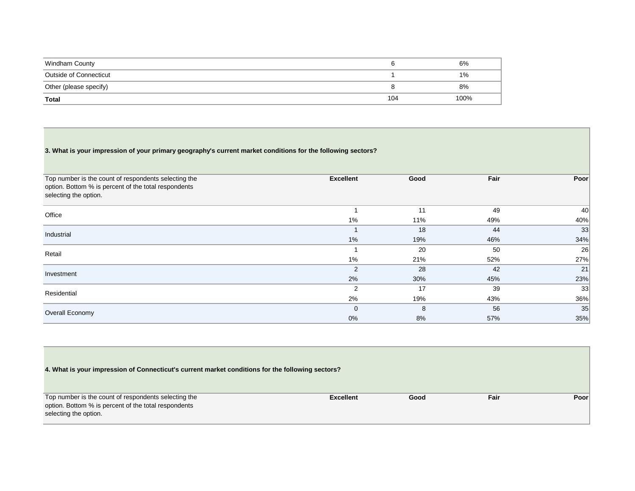| Windham County         |     | 6%   |
|------------------------|-----|------|
| Outside of Connecticut |     | 1%   |
| Other (please specify) |     | 8%   |
| Total                  | 104 | 100% |

# **3. What is your impression of your primary geography's current market conditions for the following sectors?**

▀

| Top number is the count of respondents selecting the | <b>Excellent</b> | Good | Fair | Poor |
|------------------------------------------------------|------------------|------|------|------|
| option. Bottom % is percent of the total respondents |                  |      |      |      |
| selecting the option.                                |                  |      |      |      |
|                                                      |                  | 11   | 49   | 40   |
| Office                                               | 1%               | 11%  | 49%  | 40%  |
| Industrial                                           |                  | 18   | 44   | 33   |
|                                                      | 1%               | 19%  | 46%  | 34%  |
| Retail                                               |                  | 20   | 50   | 26   |
|                                                      | $1\%$            | 21%  | 52%  | 27%  |
| Investment                                           | $\overline{2}$   | 28   | 42   | 21   |
|                                                      | 2%               | 30%  | 45%  | 23%  |
| Residential                                          | 2                | 17   | 39   | 33   |
|                                                      | 2%               | 19%  | 43%  | 36%  |
| Overall Economy                                      | $\mathbf 0$      | 8    | 56   | 35   |
|                                                      | 0%               | 8%   | 57%  | 35%  |

| 4. What is your impression of Connecticut's current market conditions for the following sectors? |                  |      |      |       |
|--------------------------------------------------------------------------------------------------|------------------|------|------|-------|
| Top number is the count of respondents selecting the                                             | <b>Excellent</b> | Good | Fair | Poorl |
| option. Bottom % is percent of the total respondents                                             |                  |      |      |       |
| selecting the option.                                                                            |                  |      |      |       |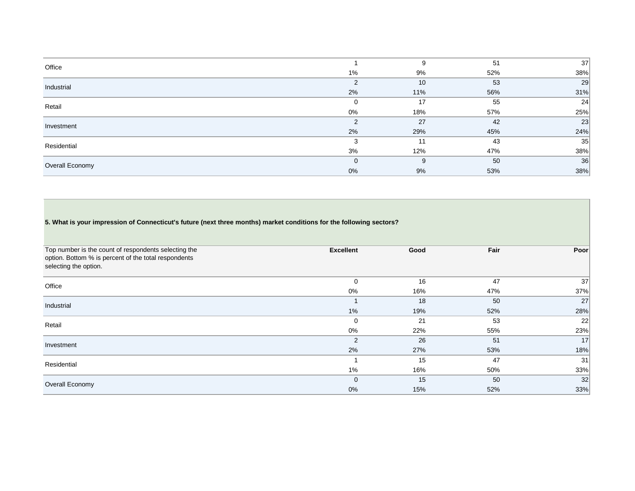| Office          |               | 9   | 51  | 37  |
|-----------------|---------------|-----|-----|-----|
|                 | 1%            | 9%  | 52% | 38% |
| Industrial      | 2             | 10  | 53  | 29  |
|                 | 2%            | 11% | 56% | 31% |
| Retail          | $\mathbf{0}$  | 17  | 55  | 24  |
|                 | 0%            | 18% | 57% | 25% |
| Investment      | $\mathcal{P}$ | 27  | 42  | 23  |
|                 | 2%            | 29% | 45% | 24% |
| Residential     | 3             | 11  | 43  | 35  |
|                 | 3%            | 12% | 47% | 38% |
| Overall Economy | $\mathbf{0}$  | 9   | 50  | 36  |
|                 | 0%            | 9%  | 53% | 38% |

# **5. What is your impression of Connecticut's future (next three months) market conditions for the following sectors?**

| Top number is the count of respondents selecting the<br>option. Bottom % is percent of the total respondents<br>selecting the option. | <b>Excellent</b> | Good | Fair | Poor |
|---------------------------------------------------------------------------------------------------------------------------------------|------------------|------|------|------|
| Office                                                                                                                                | $\mathbf 0$      | 16   | 47   | 37   |
|                                                                                                                                       | 0%               | 16%  | 47%  | 37%  |
| Industrial                                                                                                                            |                  | 18   | 50   | 27   |
|                                                                                                                                       | 1%               | 19%  | 52%  | 28%  |
| Retail                                                                                                                                | $\mathbf 0$      | 21   | 53   | 22   |
|                                                                                                                                       | 0%               | 22%  | 55%  | 23%  |
| Investment                                                                                                                            | 2                | 26   | 51   | 17   |
|                                                                                                                                       | 2%               | 27%  | 53%  | 18%  |
| Residential                                                                                                                           |                  | 15   | 47   | 31   |
|                                                                                                                                       | $1\%$            | 16%  | 50%  | 33%  |
| Overall Economy                                                                                                                       | $\mathbf 0$      | 15   | 50   | 32   |
|                                                                                                                                       | 0%               | 15%  | 52%  | 33%  |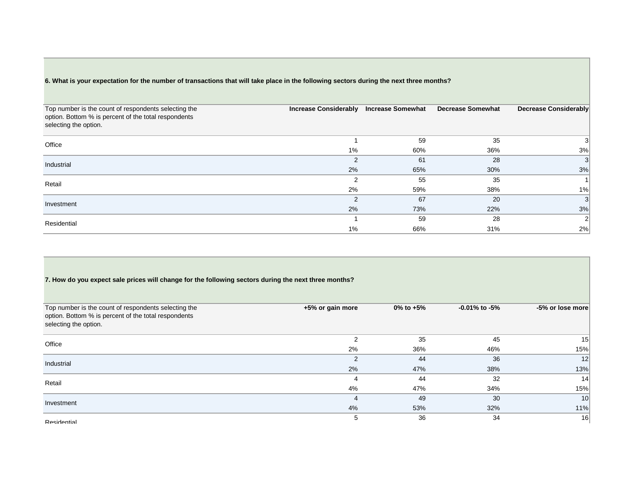### **6. What is your expectation for the number of transactions that will take place in the following sectors during the next three months?**

| Top number is the count of respondents selecting the<br>option. Bottom % is percent of the total respondents<br>selecting the option. | <b>Increase Considerably</b> | <b>Increase Somewhat</b> | <b>Decrease Somewhat</b> | Decrease Considerably |
|---------------------------------------------------------------------------------------------------------------------------------------|------------------------------|--------------------------|--------------------------|-----------------------|
| Office                                                                                                                                |                              | 59                       | 35                       |                       |
|                                                                                                                                       | $1\%$                        | 60%                      | 36%                      | 3%                    |
| Industrial                                                                                                                            | 2                            | 61                       | 28                       | 3                     |
|                                                                                                                                       | 2%                           | 65%                      | 30%                      | 3%                    |
| Retail                                                                                                                                | $\mathcal{P}$                | 55                       | 35                       |                       |
|                                                                                                                                       | 2%                           | 59%                      | 38%                      | 1%                    |
| Investment                                                                                                                            | 2                            | 67                       | 20                       | 3                     |
|                                                                                                                                       | 2%                           | 73%                      | 22%                      | 3%                    |
| Residential                                                                                                                           |                              | 59                       | 28                       | $\sqrt{2}$            |
|                                                                                                                                       | $1\%$                        | 66%                      | 31%                      | 2%                    |

### **7. How do you expect sale prices will change for the following sectors during the next three months?**

| Top number is the count of respondents selecting the<br>option. Bottom % is percent of the total respondents<br>selecting the option. | +5% or gain more | 0% to $+5%$ | $-0.01\%$ to $-5\%$ | -5% or lose more |
|---------------------------------------------------------------------------------------------------------------------------------------|------------------|-------------|---------------------|------------------|
| Office                                                                                                                                | 2                | 35          | 45                  | 15               |
|                                                                                                                                       | 2%               | 36%         | 46%                 | 15%              |
| Industrial                                                                                                                            | 2                | 44          | 36                  | 12               |
|                                                                                                                                       | 2%               | 47%         | 38%                 | 13%              |
| Retail                                                                                                                                | 4                | 44          | 32                  | 14               |
|                                                                                                                                       | 4%               | 47%         | 34%                 | 15%              |
| Investment                                                                                                                            | $\overline{4}$   | 49          | 30                  | 10 <sup>1</sup>  |
|                                                                                                                                       | 4%               | 53%         | 32%                 | 11%              |
| Residential                                                                                                                           | 5                | 36          | 34                  | 16               |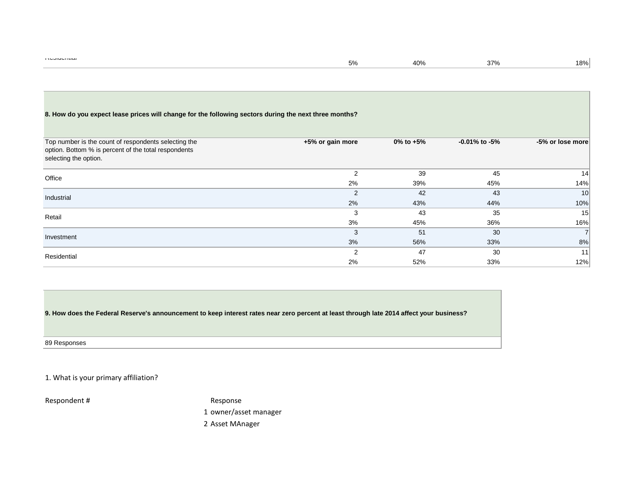### **8. How do you expect lease prices will change for the following sectors during the next three months?**

| Top number is the count of respondents selecting the<br>option. Bottom % is percent of the total respondents<br>selecting the option. | +5% or gain more | $0\%$ to $+5\%$ | $-0.01\%$ to $-5\%$ | -5% or lose more |
|---------------------------------------------------------------------------------------------------------------------------------------|------------------|-----------------|---------------------|------------------|
| Office                                                                                                                                | 2                | 39              | 45                  | 14               |
|                                                                                                                                       | 2%               | 39%             | 45%                 | 14%              |
| Industrial                                                                                                                            | 2                | 42              | 43                  | 10 <sup>1</sup>  |
|                                                                                                                                       | 2%               | 43%             | 44%                 | 10%              |
| Retail                                                                                                                                | 3                | 43              | 35                  | 15               |
|                                                                                                                                       | 3%               | 45%             | 36%                 | 16%              |
| Investment                                                                                                                            | 3                | 51              | 30                  | $\overline{7}$   |
|                                                                                                                                       | 3%               | 56%             | 33%                 | 8%               |
| Residential                                                                                                                           | 2                | 47              | 30                  | 11               |
|                                                                                                                                       | 2%               | 52%             | 33%                 | 12%              |

**9. How does the Federal Reserve's announcement to keep interest rates near zero percent at least through late 2014 affect your business?**

89 Responses

1. What is your primary affiliation?

Respondent # Response

1 owner/asset manager

2 Asset MAnager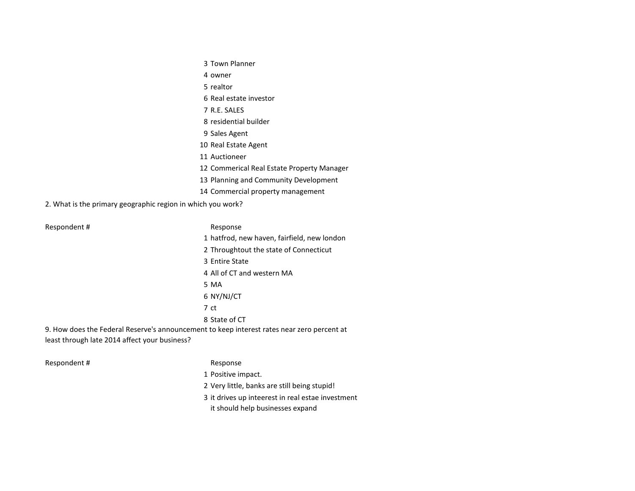- Town Planner
- owner
- realtor
- Real estate investor
- R.E. SALES
- residential builder
- Sales Agent
- Real Estate Agent
- Auctioneer
- Commerical Real Estate Property Manager
- Planning and Community Development
- Commercial property management

2. What is the primary geographic region in which you work?

#### Respondent # Response

- 
- hatfrod, new haven, fairfield, new london
- Throughtout the state of Connecticut
- Entire State
- All of CT and western MA
- MA
- NY/NJ/CT
- ct
- State of CT
- 9. How does the Federal Reserve's announcement to keep interest rates near zero percent at least through late 2014 affect your business?

Respondent # Response

- Positive impact.
- Very little, banks are still being stupid!
- it drives up inteerest in real estae investment
	- it should help businesses expand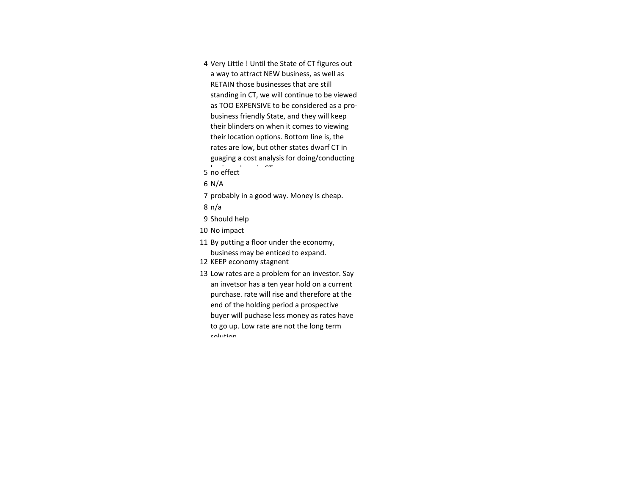4 Very Little ! Until the State of CT figures out a way to attract NEW business, as well as RETAIN those businesses that are still standing in CT, we will continue to be viewed as TOO EXPENSIVE to be considered as a probusiness friendly State, and they will keep their blinders on when it comes to viewing their location options. Bottom line is, the rates are low, but other states dwarf CT in guaging a cost analysis for doing/conducting

- 5 no effect
- 6 N/A
- 7 probably in a good way. Money is cheap.
- 8 n/a
- 9 Should help
- 10 No impact
- 11 By putting a floor under the economy, business may be enticed to expand.
- 12 KEEP economy stagnent
- 13 Low rates are a problem for an investor. Say an invetsor has a ten year hold on a current purchase. rate will rise and therefore at the end of the holding period a prospective buyer will puchase less money as rates have to go up. Low rate are not the long term solution.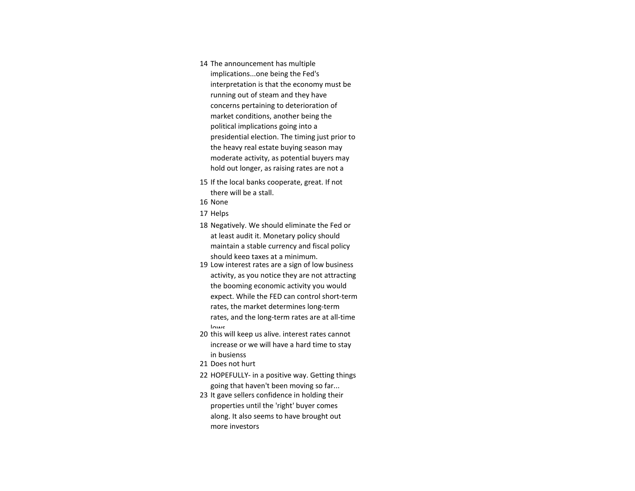- 14 The announcement has multiple implications...one being the Fed's interpretation is that the economy must be running out of steam and they have concerns pertaining to deterioration of market conditions, another being the political implications going into a presidential election. The timing just prior to the heavy real estate buying season may moderate activity, as potential buyers may hold out longer, as raising rates are not a
- 15 If the local banks cooperate, great. If not there will be a stall.
- 16 None
- 17 Helps
- 18 Negatively. We should eliminate the Fed or at least audit it. Monetary policy should maintain a stable currency and fiscal policy should keep taxes at a minimum.
- 19 Low interest rates are a sign of low business activity, as you notice they are not attracting the booming economic activity you would expect. While the FED can control short-term rates, the market determines long-term rates, and the long-term rates are at all-time lowe
- 20 this will keep us alive. interest rates cannot increase or we will have a hard time to stay in busienss
- 21 Does not hurt
- 22 HOPEFULLY- in a positive way. Getting things going that haven't been moving so far...
- 23 It gave sellers confidence in holding their properties until the 'right' buyer comes along. It also seems to have brought out more investors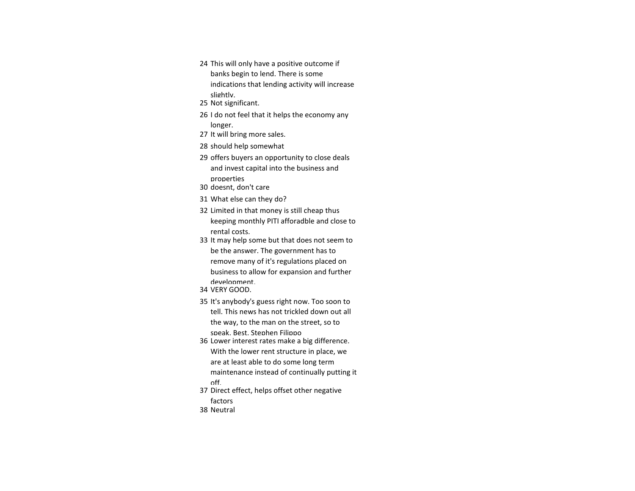- 24 This will only have a positive outcome if banks begin to lend. There is some indications that lending activity will increase slightly.
- 25 Not significant.
- 26 I do not feel that it helps the economy any longer.
- 27 It will bring more sales.
- 28 should help somewhat
- 29 offers buyers an opportunity to close deals and invest capital into the business and properties
- 30 doesnt, don't care
- 31 What else can they do?
- 32 Limited in that money is still cheap thus keeping monthly PITI afforadble and close to rental costs.
- 33 It may help some but that does not seem to be the answer. The government has to remove many of it's regulations placed on business to allow for expansion and further development.
- 34 VERY GOOD.
- 35 It's anybody's guess right now. Too soon to tell. This news has not trickled down out all the way, to the man on the street, so to speak. Best, Stephen Filippo
- 36 Lower interest rates make a big difference. With the lower rent structure in place, we are at least able to do some long term maintenance instead of continually putting it off.
- 37 Direct effect, helps offset other negative factors
- 38 Neutral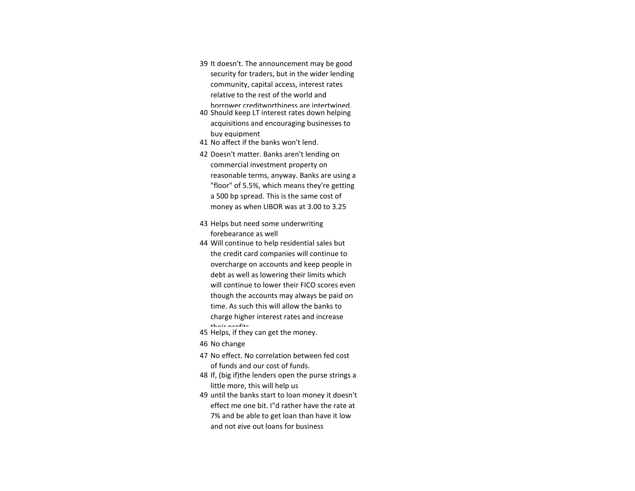- 39 It doesn't. The announcement may be good security for traders, but in the wider lending community, capital access, interest rates relative to the rest of the world and borrower creditworthiness are intertwined.
- 40 Should keep LT interest rates down helping acquisitions and encouraging businesses to buy equipment
- 41 No affect if the banks won't lend.
- 42 Doesn't matter. Banks aren't lending on commercial investment property on reasonable terms, anyway. Banks are using a "floor" of 5.5%, which means they're getting a 500 bp spread. This is the same cost of money as when LIBOR was at 3.00 to 3.25
- 43 Helps but need some underwriting forebearance as well
- 44 Will continue to help residential sales but the credit card companies will continue to overcharge on accounts and keep people in debt as well as lowering their limits which will continue to lower their FICO scores even though the accounts may always be paid on time. As such this will allow the banks to charge higher interest rates and increase
- their profits. 45 Helps, if they can get the money.
- 46 No change
- 47 No effect. No correlation between fed cost of funds and our cost of funds.
- 48 If, (big if)the lenders open the purse strings a little more, this will help us
- 49 until the banks start to loan money it doesn't effect me one bit. I"d rather have the rate at 7% and be able to get loan than have it low and not give out loans for business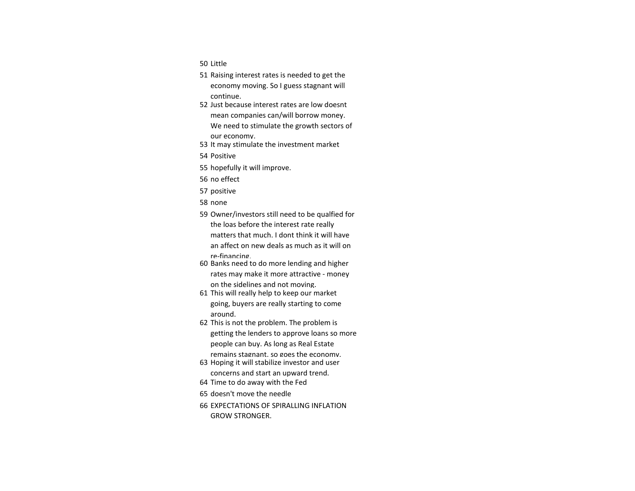- 50 Little
- 51 Raising interest rates is needed to get the economy moving. So I guess stagnant will continue.
- 52 Just because interest rates are low doesnt mean companies can/will borrow money. We need to stimulate the growth sectors of our economy.
- 53 It may stimulate the investment market
- 54 Positive
- 55 hopefully it will improve.
- 56 no effect
- 57 positive
- 58 none
- 59 Owner/investors still need to be qualfied for the loas before the interest rate really matters that much. I dont think it will have an affect on new deals as much as it will on re-financing.
- 60 Banks need to do more lending and higher rates may make it more attractive - money on the sidelines and not moving.
- 61 This will really help to keep our market going, buyers are really starting to come around.
- 62 This is not the problem. The problem is getting the lenders to approve loans so more people can buy. As long as Real Estate
- remains stagnant, so goes the economy. 63 Hoping it will stabilize investor and user
	- concerns and start an upward trend.
- 64 Time to do away with the Fed
- 65 doesn't move the needle
- 66 EXPECTATIONS OF SPIRALLING INFLATION GROW STRONGER.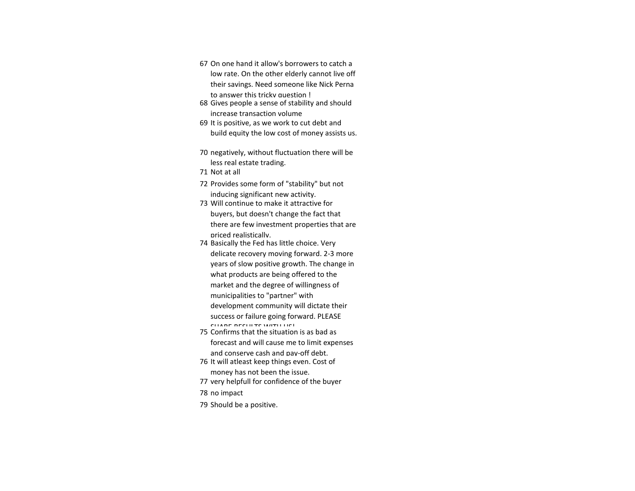- 67 On one hand it allow's borrowers to catch a low rate. On the other elderly cannot live off their savings. Need someone like Nick Perna to answer this tricky question !
- 68 Gives people a sense of stability and should increase transaction volume
- 69 It is positive, as we work to cut debt and build equity the low cost of money assists us.
- 70 negatively, without fluctuation there will be less real estate trading.
- 71 Not at all
- 72 Provides some form of "stability" but not inducing significant new activity.
- 73 Will continue to make it attractive for buyers, but doesn't change the fact that there are few investment properties that are priced realistically.
- 74 Basically the Fed has little choice. Very delicate recovery moving forward. 2-3 more years of slow positive growth. The change in what products are being offered to the market and the degree of willingness of municipalities to "partner" with development community will dictate their success or failure going forward. PLEASE CHARE RESULTS WITH US!
- 75 Confirms that the situation is as bad as forecast and will cause me to limit expenses and conserve cash and pay-off debt.
- 76 It will atleast keep things even. Cost of money has not been the issue.
- 77 very helpfull for confidence of the buyer
- 78 no impact
- 79 Should be a positive.